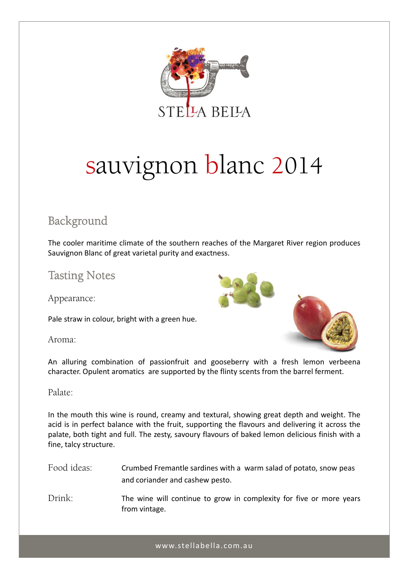

# sauvignon blanc 2014

## Background

The cooler maritime climate of the southern reaches of the Margaret River region produces Sauvignon Blanc of great varietal purity and exactness.

## Tasting Notes

Appearance:

Pale straw in colour, bright with a green hue.

Aroma:



An alluring combination of passionfruit and gooseberry with a fresh lemon verbeena character. Opulent aromatics are supported by the flinty scents from the barrel ferment.

#### Palate:

In the mouth this wine is round, creamy and textural, showing great depth and weight. The acid is in perfect balance with the fruit, supporting the flavours and delivering it across the palate, both tight and full. The zesty, savoury flavours of baked lemon delicious finish with a fine, talcy structure.

Food ideas: Crumbed Fremantle sardines with a warm salad of potato, snow peas and coriander and cashew pesto.

Drink: The wine will continue to grow in complexity for five or more years from vintage.